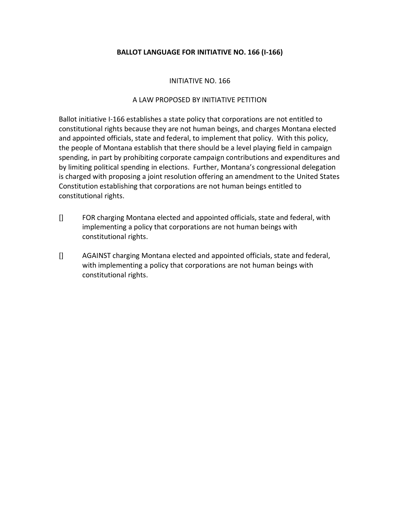# **BALLOT LANGUAGE FOR INITIATIVE NO. 166 (I-166)**

### INITIATIVE NO. 166

#### A LAW PROPOSED BY INITIATIVE PETITION

Ballot initiative I-166 establishes a state policy that corporations are not entitled to constitutional rights because they are not human beings, and charges Montana elected and appointed officials, state and federal, to implement that policy. With this policy, the people of Montana establish that there should be a level playing field in campaign spending, in part by prohibiting corporate campaign contributions and expenditures and by limiting political spending in elections. Further, Montana's congressional delegation is charged with proposing a joint resolution offering an amendment to the United States Constitution establishing that corporations are not human beings entitled to constitutional rights.

- [] FOR charging Montana elected and appointed officials, state and federal, with implementing a policy that corporations are not human beings with constitutional rights.
- [] AGAINST charging Montana elected and appointed officials, state and federal, with implementing a policy that corporations are not human beings with constitutional rights.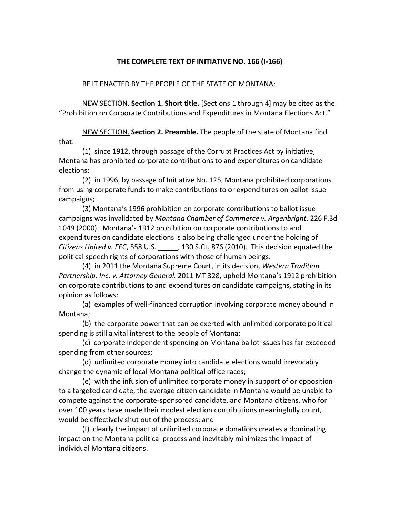### **THE COMPLETE TEXT OF INITIATIVE NO. 166 (I-166)**

#### BE IT ENACTED BY THE PEOPLE OF THE STATE OF MONTANA:

NEW SECTION. **Section 1. Short title.** [Sections 1 through 4] may be cited as the "Prohibition on Corporate Contributions and Expenditures in Montana Elections Act."

NEW SECTION. **Section 2. Preamble.** The people of the state of Montana find that:

(1) since 1912, through passage of the Corrupt Practices Act by initiative, Montana has prohibited corporate contributions to and expenditures on candidate elections;

(2) in 1996, by passage of Initiative No. 125, Montana prohibited corporations from using corporate funds to make contributions to or expenditures on ballot issue campaigns;

(3) Montana's 1996 prohibition on corporate contributions to ballot issue campaigns was invalidated by *Montana Chamber of Commerce v. Argenbright*, 226 F.3d 1049 (2000). Montana's 1912 prohibition on corporate contributions to and expenditures on candidate elections is also being challenged under the holding of *Citizens United v. FEC*, 558 U.S. \_\_\_\_\_, 130 S.Ct. 876 (2010). This decision equated the political speech rights of corporations with those of human beings.

(4) in 2011 the Montana Supreme Court, in its decision, *Western Tradition Partnership, Inc. v. Attorney General,* 2011 MT 328, upheld Montana's 1912 prohibition on corporate contributions to and expenditures on candidate campaigns, stating in its opinion as follows:

(a) examples of well-financed corruption involving corporate money abound in Montana;

(b) the corporate power that can be exerted with unlimited corporate political spending is still a vital interest to the people of Montana;

(c) corporate independent spending on Montana ballot issues has far exceeded spending from other sources;

(d) unlimited corporate money into candidate elections would irrevocably change the dynamic of local Montana political office races;

(e) with the infusion of unlimited corporate money in support of or opposition to a targeted candidate, the average citizen candidate in Montana would be unable to compete against the corporate-sponsored candidate, and Montana citizens, who for over 100 years have made their modest election contributions meaningfully count, would be effectively shut out of the process; and

(f) clearly the impact of unlimited corporate donations creates a dominating impact on the Montana political process and inevitably minimizes the impact of individual Montana citizens.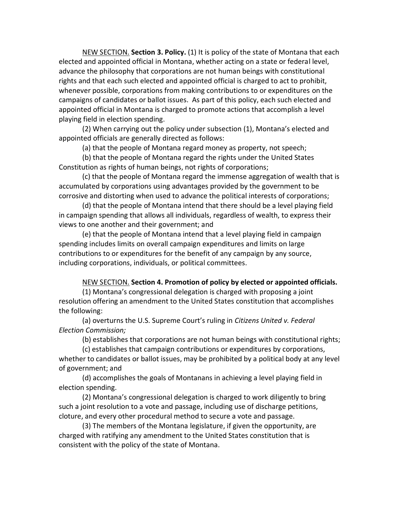NEW SECTION. **Section 3. Policy.** (1) It is policy of the state of Montana that each elected and appointed official in Montana, whether acting on a state or federal level, advance the philosophy that corporations are not human beings with constitutional rights and that each such elected and appointed official is charged to act to prohibit, whenever possible, corporations from making contributions to or expenditures on the campaigns of candidates or ballot issues. As part of this policy, each such elected and appointed official in Montana is charged to promote actions that accomplish a level playing field in election spending.

(2) When carrying out the policy under subsection (1), Montana's elected and appointed officials are generally directed as follows:

(a) that the people of Montana regard money as property, not speech;

(b) that the people of Montana regard the rights under the United States Constitution as rights of human beings, not rights of corporations;

(c) that the people of Montana regard the immense aggregation of wealth that is accumulated by corporations using advantages provided by the government to be corrosive and distorting when used to advance the political interests of corporations;

(d) that the people of Montana intend that there should be a level playing field in campaign spending that allows all individuals, regardless of wealth, to express their views to one another and their government; and

(e) that the people of Montana intend that a level playing field in campaign spending includes limits on overall campaign expenditures and limits on large contributions to or expenditures for the benefit of any campaign by any source, including corporations, individuals, or political committees.

## NEW SECTION. **Section 4. Promotion of policy by elected or appointed officials.**

(1) Montana's congressional delegation is charged with proposing a joint resolution offering an amendment to the United States constitution that accomplishes the following:

(a) overturns the U.S. Supreme Court's ruling in *Citizens United v. Federal Election Commission;* 

(b) establishes that corporations are not human beings with constitutional rights;

(c) establishes that campaign contributions or expenditures by corporations, whether to candidates or ballot issues, may be prohibited by a political body at any level of government; and

(d) accomplishes the goals of Montanans in achieving a level playing field in election spending.

(2) Montana's congressional delegation is charged to work diligently to bring such a joint resolution to a vote and passage, including use of discharge petitions, cloture, and every other procedural method to secure a vote and passage.

(3) The members of the Montana legislature, if given the opportunity, are charged with ratifying any amendment to the United States constitution that is consistent with the policy of the state of Montana.